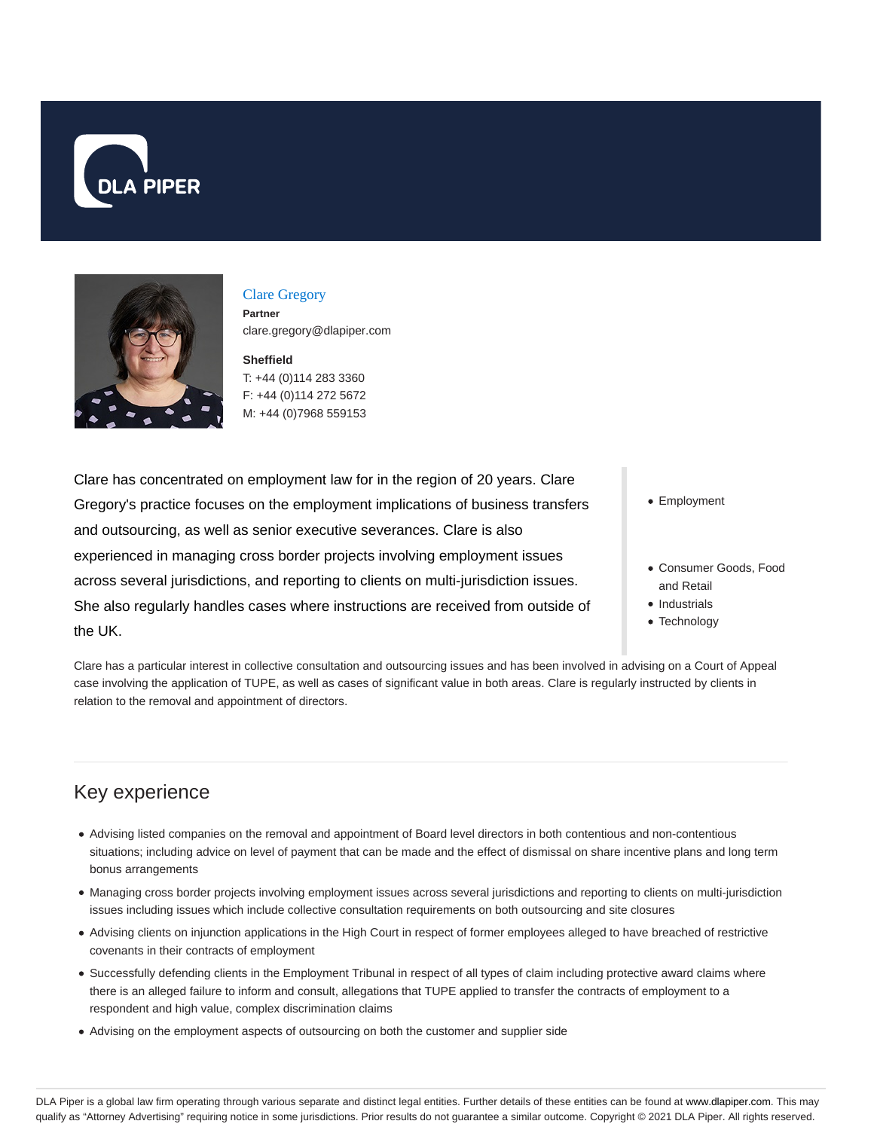



#### Clare Gregory **Partner** clare.gregory@dlapiper.com

**Sheffield** T: +44 (0)114 283 3360 F: +44 (0)114 272 5672 M: +44 (0)7968 559153

Clare has concentrated on employment law for in the region of 20 years. Clare Gregory's practice focuses on the employment implications of business transfers and outsourcing, as well as senior executive severances. Clare is also experienced in managing cross border projects involving employment issues across several jurisdictions, and reporting to clients on multi-jurisdiction issues. She also regularly handles cases where instructions are received from outside of the UK.

• Employment

- Consumer Goods, Food and Retail
- Industrials
- Technology

Clare has a particular interest in collective consultation and outsourcing issues and has been involved in advising on a Court of Appeal case involving the application of TUPE, as well as cases of significant value in both areas. Clare is regularly instructed by clients in relation to the removal and appointment of directors.

# Key experience

- Advising listed companies on the removal and appointment of Board level directors in both contentious and non-contentious situations; including advice on level of payment that can be made and the effect of dismissal on share incentive plans and long term bonus arrangements
- Managing cross border projects involving employment issues across several jurisdictions and reporting to clients on multi-jurisdiction issues including issues which include collective consultation requirements on both outsourcing and site closures
- Advising clients on injunction applications in the High Court in respect of former employees alleged to have breached of restrictive covenants in their contracts of employment
- Successfully defending clients in the Employment Tribunal in respect of all types of claim including protective award claims where there is an alleged failure to inform and consult, allegations that TUPE applied to transfer the contracts of employment to a respondent and high value, complex discrimination claims
- Advising on the employment aspects of outsourcing on both the customer and supplier side

DLA Piper is a global law firm operating through various separate and distinct legal entities. Further details of these entities can be found at www.dlapiper.com. This may qualify as "Attorney Advertising" requiring notice in some jurisdictions. Prior results do not guarantee a similar outcome. Copyright @ 2021 DLA Piper. All rights reserved.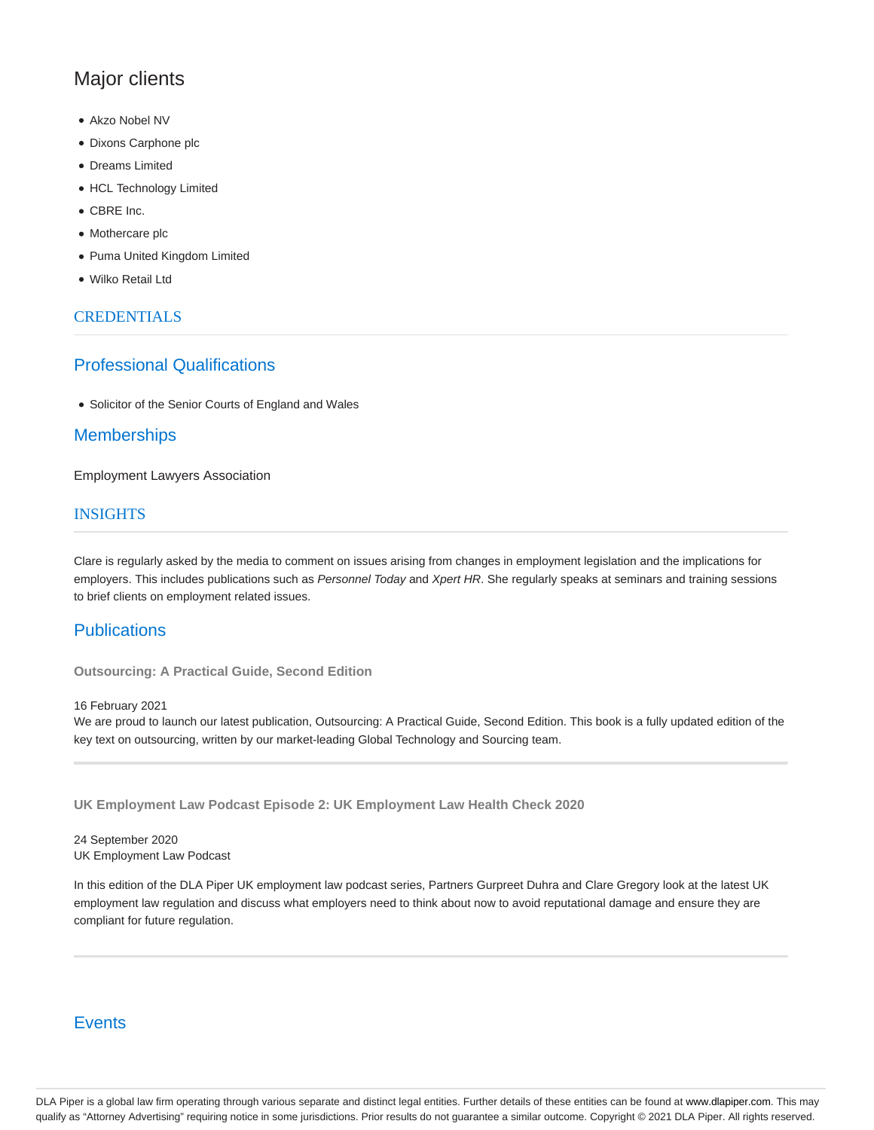## Major clients

- Akzo Nobel NV
- Dixons Carphone plc
- Dreams Limited
- HCL Technology Limited
- CBRE Inc.
- Mothercare plc
- Puma United Kingdom Limited
- Wilko Retail Ltd

#### CREDENTIALS

### Professional Qualifications

Solicitor of the Senior Courts of England and Wales

### **Memberships**

Employment Lawyers Association

#### **INSIGHTS**

Clare is regularly asked by the media to comment on issues arising from changes in employment legislation and the implications for employers. This includes publications such as Personnel Today and Xpert HR. She regularly speaks at seminars and training sessions to brief clients on employment related issues.

#### **Publications**

**Outsourcing: A Practical Guide, Second Edition**

16 February 2021

We are proud to launch our latest publication, Outsourcing: A Practical Guide, Second Edition. This book is a fully updated edition of the key text on outsourcing, written by our market-leading Global Technology and Sourcing team.

**UK Employment Law Podcast Episode 2: UK Employment Law Health Check 2020**

24 September 2020 UK Employment Law Podcast

In this edition of the DLA Piper UK employment law podcast series, Partners Gurpreet Duhra and Clare Gregory look at the latest UK employment law regulation and discuss what employers need to think about now to avoid reputational damage and ensure they are compliant for future regulation.

## **Events**

DLA Piper is a global law firm operating through various separate and distinct legal entities. Further details of these entities can be found at www.dlapiper.com. This may qualify as "Attorney Advertising" requiring notice in some jurisdictions. Prior results do not guarantee a similar outcome. Copyright @ 2021 DLA Piper. All rights reserved.